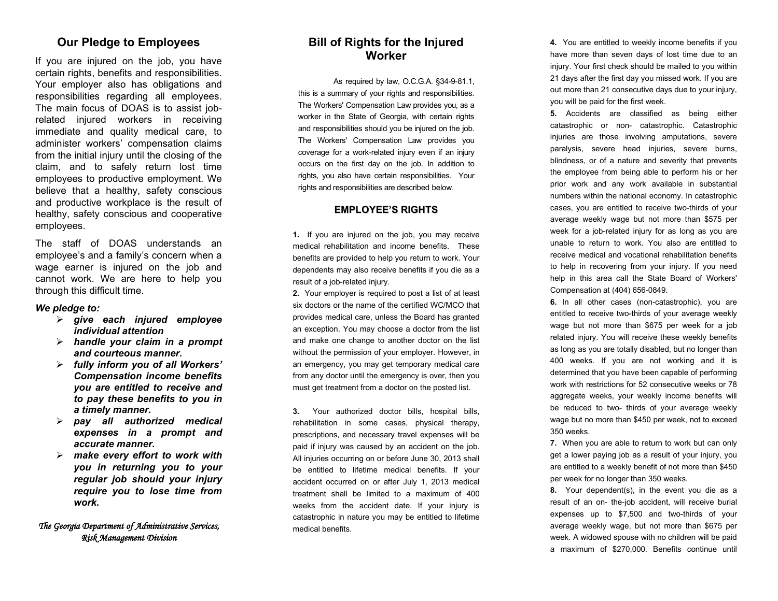## **Our Pledge to Employees**

If you are injured on the job, you have certain rights, benefits and responsibilities. Your employer also has obligations and responsibilities regarding all employees. The main focus of DOAS is to assist job related injured workers in receiving immediate and quality medical care, to administer workers' compensation claims from the initial injury until the closing of the claim, and to safely return lost time employees to productive employment. We believe that a healthy, safety conscious and productive workplace is the result of healthy, safety conscious and cooperative employees.

The staff of DOAS understands an employee's and a family's concern when a wage earner is injured on the job and cannot work. We are here to help you through this difficult time.

#### *We pledge to:*

- *give each injured employee individual attention*
- *handle your claim in a prompt and courteous manner.*
- *fully inform you of all Workers' Compensation income benefits you are entitled to receive and to pay these benefits to you in a timely manner.*
- *pay all authorized medical expenses in a prompt and accurate manner.*
- *make every effort to work with you in returning you to your regular job should your injury require you to lose time from work.*

#### *The Georgia Department of Administrative Services, Risk Management Division*

### **Bill of Rights for the Injured Worker**

As required by law, O.C.G.A. §34 - 9 -81.1, this is a summary of your rights and responsibilities. The Workers' Compensation Law provides you, as a worker in the State of Georgia, with certain rights and responsibilities should you be injured on the job. The Workers' Compensation Law provides you coverage for a work -related injury even if an injury occurs on the first day on the job. In addition to rights, you also have certain responsibilities. Your rights and responsibilities are described below.

#### **EMPLOYEE'S RIGHTS**

**1.** If you are injured on the job, you may receive medical rehabilitation and income benefits. These benefits are provided to help you return to work. Your dependents may also receive benefits if you die as a result of a job -related injury.

**2.** Your employer is required to post a list of at least six doctors or the name of the certified WC/MCO that provides medical care, unless the Board has granted an exception. You may choose a doctor from the list and make one change to another doctor on the list without the permission of your employer. However, in an emergency, you may get temporary medical care from any doctor until the emergency is over, then you must get treatment from a doctor on the posted list.

**3.** Your authorized doctor bills, hospital bills, rehabilitation in some cases, physical therapy, prescriptions, and necessary travel expenses will be paid if injury was caused by an accident on the job. All injuries occurring on or before June 30, 2013 shall be entitled to lifetime medical benefits. If your accident occurred on or after July 1, 2013 medical treatment shall be limited to a maximum of 400 weeks from the accident date. If your injury is catastrophic in nature you may be entitled to lifetime medical benefits.

**4.** You are entitled to weekly income benefits if you have more than seven days of lost time due to an injury. Your first check should be mailed to you within 21 days after the first day you missed work. If you are out more than 21 consecutive days due to your injury, you will be paid for the first week.

**5.** Accidents are classified as being either catastrophic or non - catastrophic. Catastrophic injuries are those involving amputations, severe paralysis, severe head injuries, severe burns, blindness, or of a nature and severity that prevents the employee from being able to perform his or her prior work and any work available in substantial numbers within the national economy. In catastrophic cases, you are entitled to receive two -thirds of your average weekly wage but not more than \$575 per week for a job -related injury for as long as you are unable to return to work. You also are entitled to receive medical and vocational rehabilitation benefits to help in recovering from your injury. If you need help in this area call the State Board of Workers' Compensation at (404) 656 -0849 .

**6.** In all other cases (non -catastrophic), you are entitled to receive two -thirds of your average weekly wage but not more than \$ 675 per week for a job related injury. You will receive these weekly benefits as long as you are totally disabled, but no longer than 400 weeks. If you are not working and it is determined that you have been capable of performing work with restrictions for 52 consecutive weeks or 78 aggregate weeks, your weekly income benefits will be reduced to two - thirds of your average weekly wage but no more than \$450 per week, not to exceed 350 weeks.

**7.** When you are able to return to work but can only get a lower paying job as a result of your injury, you are entitled to a weekly benefit of not more than \$450 per week for no longer than 350 weeks.

**8.** Your dependent(s), in the event you die as a result of an on - the -job accident, will receive burial expenses up to \$7,500 and two -thirds of your average weekly wage, but not more than \$ 675 per week. A widowed spouse with no children will be paid a maximum of \$2 70,000. Benefits continue until